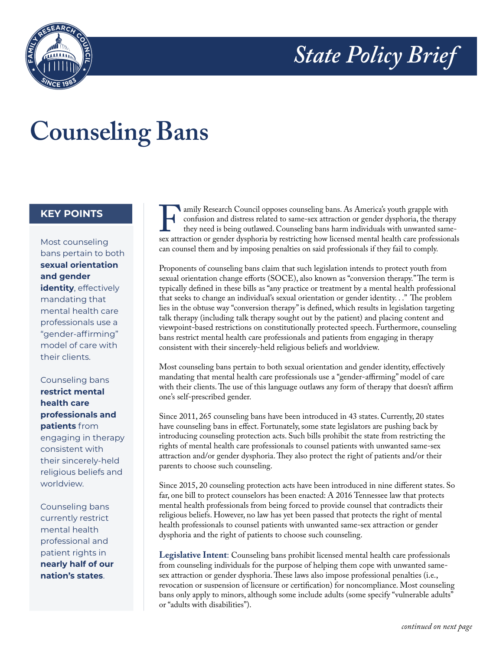



## **Counseling Bans**

## **KEY POINTS**

Most counseling bans pertain to both **sexual orientation and gender identity**, effectively mandating that

mental health care professionals use a "gender-affirming" model of care with their clients.

## Counseling bans **restrict mental health care professionals and patients** from engaging in therapy consistent with their sincerely-held religious beliefs and worldview.

Counseling bans currently restrict mental health professional and patient rights in **nearly half of our nation's states**.

Family Research Council opposes counseling bans. As America's youth grapple with confusion and distress related to same-sex attraction or gender dysphoria by restricting how licensed mental health care professionals are at confusion and distress related to same-sex attraction or gender dysphoria, the therapy they need is being outlawed. Counseling bans harm individuals with unwanted samecan counsel them and by imposing penalties on said professionals if they fail to comply.

Proponents of counseling bans claim that such legislation intends to protect youth from sexual orientation change efforts (SOCE), also known as "conversion therapy." The term is typically defined in these bills as "any practice or treatment by a mental health professional that seeks to change an individual's sexual orientation or gender identity. . ." The problem lies in the obtuse way "conversion therapy" is defined, which results in legislation targeting talk therapy (including talk therapy sought out by the patient) and placing content and viewpoint-based restrictions on constitutionally protected speech. Furthermore, counseling bans restrict mental health care professionals and patients from engaging in therapy consistent with their sincerely-held religious beliefs and worldview.

Most counseling bans pertain to both sexual orientation and gender identity, effectively mandating that mental health care professionals use a "gender-affirming" model of care with their clients. The use of this language outlaws any form of therapy that doesn't affirm one's self-prescribed gender.

Since 2011, 265 counseling bans have been introduced in 43 states. Currently, 20 states have counseling bans in effect. Fortunately, some state legislators are pushing back by introducing counseling protection acts. Such bills prohibit the state from restricting the rights of mental health care professionals to counsel patients with unwanted same-sex attraction and/or gender dysphoria. They also protect the right of patients and/or their parents to choose such counseling.

Since 2015, 20 counseling protection acts have been introduced in nine different states. So far, one bill to protect counselors has been enacted: A 2016 Tennessee law that protects mental health professionals from being forced to provide counsel that contradicts their religious beliefs. However, no law has yet been passed that protects the right of mental health professionals to counsel patients with unwanted same-sex attraction or gender dysphoria and the right of patients to choose such counseling.

**Legislative Intent**: Counseling bans prohibit licensed mental health care professionals from counseling individuals for the purpose of helping them cope with unwanted samesex attraction or gender dysphoria. These laws also impose professional penalties (i.e., revocation or suspension of licensure or certification) for noncompliance. Most counseling bans only apply to minors, although some include adults (some specify "vulnerable adults" or "adults with disabilities").